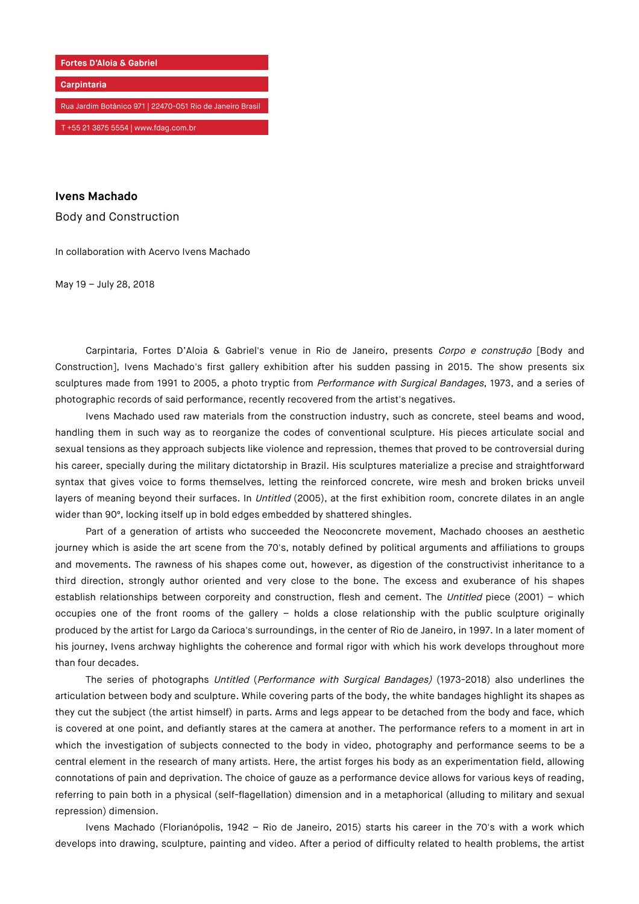

## **Ivens Machado**

Body and Construction

In collaboration with Acervo Ivens Machado

May 19 – July 28, 2018

Carpintaria, Fortes D'Aloia & Gabriel's venue in Rio de Janeiro, presents Corpo e construção [Body and Construction], Ivens Machado's first gallery exhibition after his sudden passing in 2015. The show presents six sculptures made from 1991 to 2005, a photo tryptic from Performance with Surgical Bandages, 1973, and a series of photographic records of said performance, recently recovered from the artist's negatives.

Ivens Machado used raw materials from the construction industry, such as concrete, steel beams and wood, handling them in such way as to reorganize the codes of conventional sculpture. His pieces articulate social and sexual tensions as they approach subjects like violence and repression, themes that proved to be controversial during his career, specially during the military dictatorship in Brazil. His sculptures materialize a precise and straightforward syntax that gives voice to forms themselves, letting the reinforced concrete, wire mesh and broken bricks unveil layers of meaning beyond their surfaces. In *Untitled* (2005), at the first exhibition room, concrete dilates in an angle wider than 90º, locking itself up in bold edges embedded by shattered shingles.

Part of a generation of artists who succeeded the Neoconcrete movement, Machado chooses an aesthetic journey which is aside the art scene from the 70's, notably defined by political arguments and affiliations to groups and movements. The rawness of his shapes come out, however, as digestion of the constructivist inheritance to a third direction, strongly author oriented and very close to the bone. The excess and exuberance of his shapes establish relationships between corporeity and construction, flesh and cement. The Untitled piece (2001) - which occupies one of the front rooms of the gallery – holds a close relationship with the public sculpture originally produced by the artist for Largo da Carioca's surroundings, in the center of Rio de Janeiro, in 1997. In a later moment of his journey, Ivens archway highlights the coherence and formal rigor with which his work develops throughout more than four decades.

The series of photographs Untitled (Performance with Surgical Bandages) (1973-2018) also underlines the articulation between body and sculpture. While covering parts of the body, the white bandages highlight its shapes as they cut the subject (the artist himself) in parts. Arms and legs appear to be detached from the body and face, which is covered at one point, and defiantly stares at the camera at another. The performance refers to a moment in art in which the investigation of subjects connected to the body in video, photography and performance seems to be a central element in the research of many artists. Here, the artist forges his body as an experimentation field, allowing connotations of pain and deprivation. The choice of gauze as a performance device allows for various keys of reading, referring to pain both in a physical (self-flagellation) dimension and in a metaphorical (alluding to military and sexual repression) dimension.

Ivens Machado (Florianópolis, 1942 – Rio de Janeiro, 2015) starts his career in the 70's with a work which develops into drawing, sculpture, painting and video. After a period of difficulty related to health problems, the artist